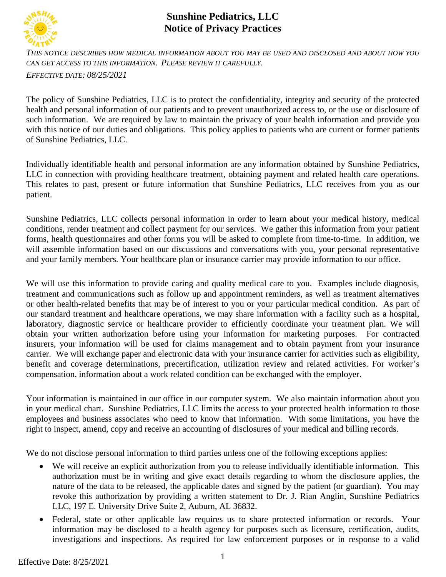

## **Sunshine Pediatrics, LLC Notice of Privacy Practices**

*THIS NOTICE DESCRIBES HOW MEDICAL INFORMATION ABOUT YOU MAY BE USED AND DISCLOSED AND ABOUT HOW YOU CAN GET ACCESS TO THIS INFORMATION. PLEASE REVIEW IT CAREFULLY.*

*EFFECTIVE DATE: 08/25/2021*

The policy of Sunshine Pediatrics, LLC is to protect the confidentiality, integrity and security of the protected health and personal information of our patients and to prevent unauthorized access to, or the use or disclosure of such information. We are required by law to maintain the privacy of your health information and provide you with this notice of our duties and obligations. This policy applies to patients who are current or former patients of Sunshine Pediatrics, LLC.

Individually identifiable health and personal information are any information obtained by Sunshine Pediatrics, LLC in connection with providing healthcare treatment, obtaining payment and related health care operations. This relates to past, present or future information that Sunshine Pediatrics, LLC receives from you as our patient.

Sunshine Pediatrics, LLC collects personal information in order to learn about your medical history, medical conditions, render treatment and collect payment for our services. We gather this information from your patient forms, health questionnaires and other forms you will be asked to complete from time-to-time. In addition, we will assemble information based on our discussions and conversations with you, your personal representative and your family members. Your healthcare plan or insurance carrier may provide information to our office.

We will use this information to provide caring and quality medical care to you. Examples include diagnosis, treatment and communications such as follow up and appointment reminders, as well as treatment alternatives or other health-related benefits that may be of interest to you or your particular medical condition. As part of our standard treatment and healthcare operations, we may share information with a facility such as a hospital, laboratory, diagnostic service or healthcare provider to efficiently coordinate your treatment plan. We will obtain your written authorization before using your information for marketing purposes. For contracted insurers, your information will be used for claims management and to obtain payment from your insurance carrier. We will exchange paper and electronic data with your insurance carrier for activities such as eligibility, benefit and coverage determinations, precertification, utilization review and related activities. For worker's compensation, information about a work related condition can be exchanged with the employer.

Your information is maintained in our office in our computer system. We also maintain information about you in your medical chart. Sunshine Pediatrics, LLC limits the access to your protected health information to those employees and business associates who need to know that information. With some limitations, you have the right to inspect, amend, copy and receive an accounting of disclosures of your medical and billing records.

We do not disclose personal information to third parties unless one of the following exceptions applies:

- We will receive an explicit authorization from you to release individually identifiable information. This authorization must be in writing and give exact details regarding to whom the disclosure applies, the nature of the data to be released, the applicable dates and signed by the patient (or guardian). You may revoke this authorization by providing a written statement to Dr. J. Rian Anglin, Sunshine Pediatrics LLC, 197 E. University Drive Suite 2, Auburn, AL 36832.
- Federal, state or other applicable law requires us to share protected information or records. Your information may be disclosed to a health agency for purposes such as licensure, certification, audits, investigations and inspections. As required for law enforcement purposes or in response to a valid